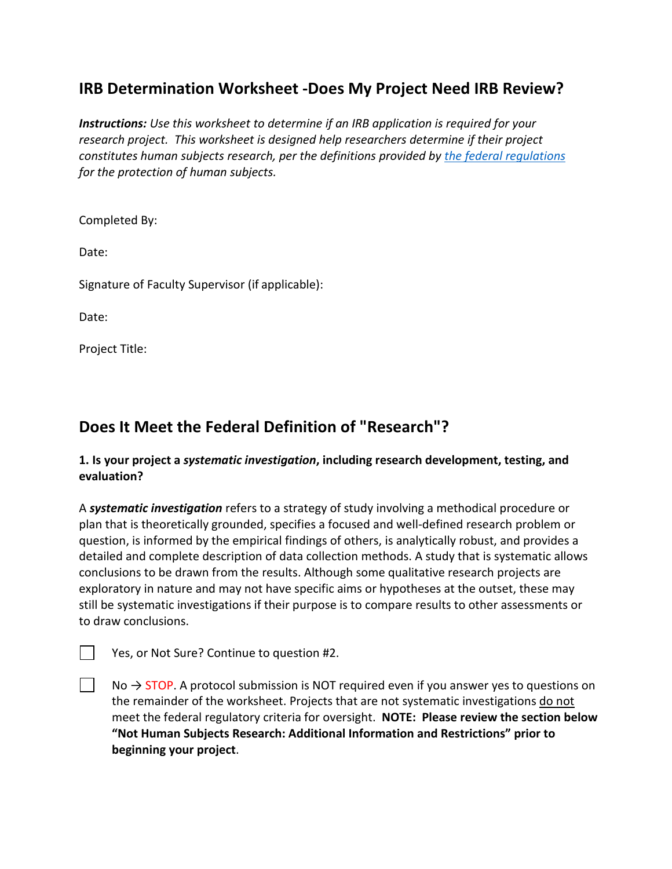# **IRB Determination Worksheet -Does My Project Need IRB Review?**

*Instructions: Use this worksheet to determine if an IRB application is required for your research project. This worksheet is designed help researchers determine if their project constitutes human subjects research, per the definitions provided by [the federal regulations](https://www.hhs.gov/ohrp/regulations-and-policy/regulations/45-cfr-46/index.html) for the protection of human subjects.* 

Completed By:

Date:

Signature of Faculty Supervisor (if applicable):

Date:

Project Title:

# **Does It Meet the Federal Definition of "Research"?**

### **1. Is your project a** *systematic investigation***, including research development, testing, and evaluation?**

A *systematic investigation* refers to a strategy of study involving a methodical procedure or plan that is theoretically grounded, specifies a focused and well-defined research problem or question, is informed by the empirical findings of others, is analytically robust, and provides a detailed and complete description of data collection methods. A study that is systematic allows conclusions to be drawn from the results. Although some qualitative research projects are exploratory in nature and may not have specific aims or hypotheses at the outset, these may still be systematic investigations if their purpose is to compare results to other assessments or to draw conclusions.

Yes, or Not Sure? Continue to question #2.

 $No \rightarrow STOP$ . A protocol submission is NOT required even if you answer yes to questions on the remainder of the worksheet. Projects that are not systematic investigations do not meet the federal regulatory criteria for oversight. **NOTE: Please review the section below "Not Human Subjects Research: Additional Information and Restrictions" prior to beginning your project**.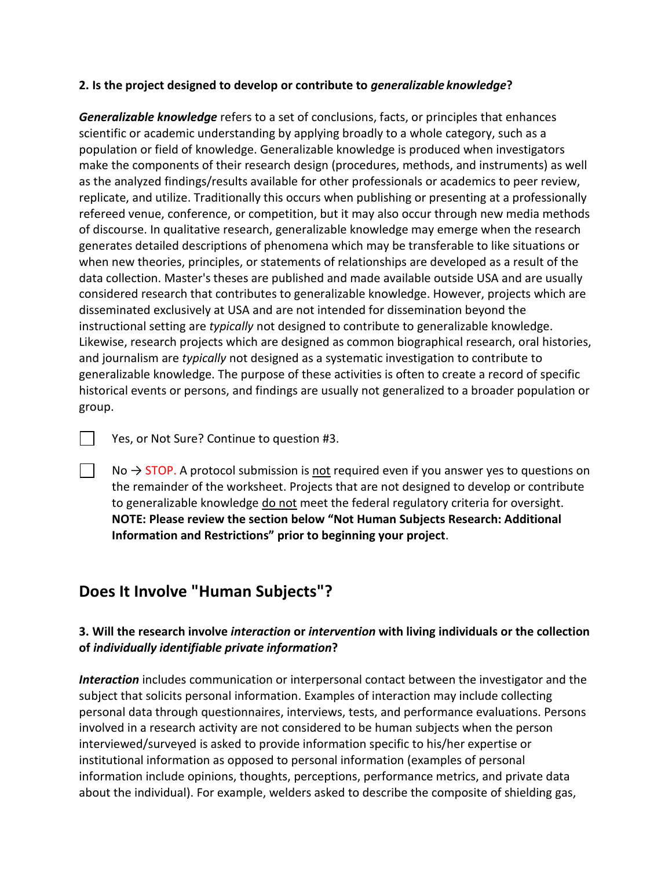#### **2. Is the project designed to develop or contribute to** *generalizable knowledge***?**

*Generalizable knowledge* refers to a set of conclusions, facts, or principles that enhances scientific or academic understanding by applying broadly to a whole category, such as a population or field of knowledge. Generalizable knowledge is produced when investigators make the components of their research design (procedures, methods, and instruments) as well as the analyzed findings/results available for other professionals or academics to peer review, replicate, and utilize. Traditionally this occurs when publishing or presenting at a professionally refereed venue, conference, or competition, but it may also occur through new media methods of discourse. In qualitative research, generalizable knowledge may emerge when the research generates detailed descriptions of phenomena which may be transferable to like situations or when new theories, principles, or statements of relationships are developed as a result of the data collection. Master's theses are published and made available outside USA and are usually considered research that contributes to generalizable knowledge. However, projects which are disseminated exclusively at USA and are not intended for dissemination beyond the instructional setting are *typically* not designed to contribute to generalizable knowledge. Likewise, research projects which are designed as common biographical research, oral histories, and journalism are *typically* not designed as a systematic investigation to contribute to generalizable knowledge. The purpose of these activities is often to create a record of specific historical events or persons, and findings are usually not generalized to a broader population or group.

Yes, or Not Sure? Continue to question #3.

 $\mathbf{L}$ 

No  $\rightarrow$  STOP. A protocol submission is not required even if you answer yes to questions on the remainder of the worksheet. Projects that are not designed to develop or contribute to generalizable knowledge do not meet the federal regulatory criteria for oversight. **NOTE: Please review the section below "Not Human Subjects Research: Additional Information and Restrictions" prior to beginning your project**.

### **Does It Involve "Human Subjects"?**

### **3. Will the research involve** *interaction* **or** *intervention* **with living individuals or the collection of** *individually identifiable private information***?**

*Interaction* includes communication or interpersonal contact between the investigator and the subject that solicits personal information. Examples of interaction may include collecting personal data through questionnaires, interviews, tests, and performance evaluations. Persons involved in a research activity are not considered to be human subjects when the person interviewed/surveyed is asked to provide information specific to his/her expertise or institutional information as opposed to personal information (examples of personal information include opinions, thoughts, perceptions, performance metrics, and private data about the individual). For example, welders asked to describe the composite of shielding gas,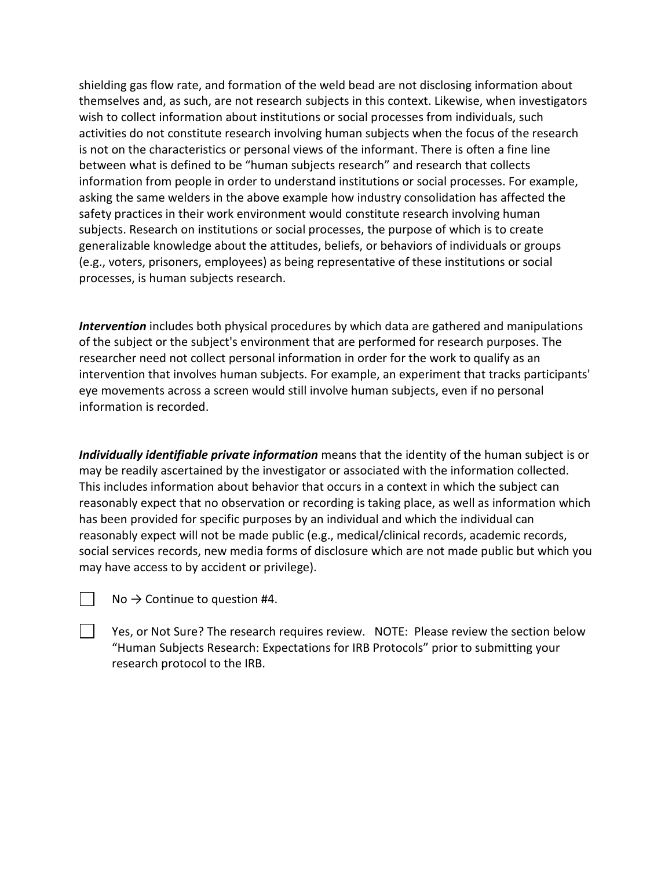shielding gas flow rate, and formation of the weld bead are not disclosing information about themselves and, as such, are not research subjects in this context. Likewise, when investigators wish to collect information about institutions or social processes from individuals, such activities do not constitute research involving human subjects when the focus of the research is not on the characteristics or personal views of the informant. There is often a fine line between what is defined to be "human subjects research" and research that collects information from people in order to understand institutions or social processes. For example, asking the same welders in the above example how industry consolidation has affected the safety practices in their work environment would constitute research involving human subjects. Research on institutions or social processes, the purpose of which is to create generalizable knowledge about the attitudes, beliefs, or behaviors of individuals or groups (e.g., voters, prisoners, employees) as being representative of these institutions or social processes, is human subjects research.

*Intervention* includes both physical procedures by which data are gathered and manipulations of the subject or the subject's environment that are performed for research purposes. The researcher need not collect personal information in order for the work to qualify as an intervention that involves human subjects. For example, an experiment that tracks participants' eye movements across a screen would still involve human subjects, even if no personal information is recorded.

*Individually identifiable private information* means that the identity of the human subject is or may be readily ascertained by the investigator or associated with the information collected. This includes information about behavior that occurs in a context in which the subject can reasonably expect that no observation or recording is taking place, as well as information which has been provided for specific purposes by an individual and which the individual can reasonably expect will not be made public (e.g., medical/clinical records, academic records, social services records, new media forms of disclosure which are not made public but which you may have access to by accident or privilege).

| No $\rightarrow$ Continue to question #4. |
|-------------------------------------------|
|-------------------------------------------|

 $\Box$ 

Yes, or Not Sure? The research requires review. NOTE: Please review the section below "Human Subjects Research: Expectations for IRB Protocols" prior to submitting your research protocol to the IRB.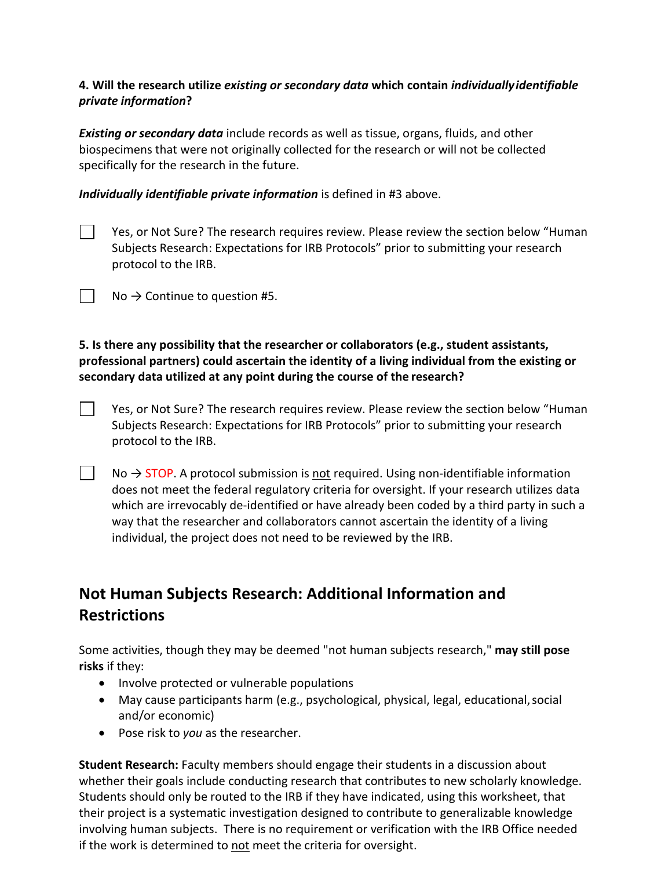### **4. Will the research utilize** *existing or secondary data* **which contain** *individuallyidentifiable private information***?**

*Existing or secondary data* include records as well as tissue, organs, fluids, and other biospecimens that were not originally collected for the research or will not be collected specifically for the research in the future.

*Individually identifiable private information* is defined in #3 above.

 $\mathbf{L}$ 

 $\mathbf{L}$ 

Yes, or Not Sure? The research requires review. Please review the section below "Human Subjects Research: Expectations for IRB Protocols" prior to submitting your research protocol to the IRB.

 $\vert \vert$  No  $\rightarrow$  Continue to question #5.

**5. Is there any possibility that the researcher or collaborators (e.g., student assistants, professional partners) could ascertain the identity of a living individual from the existing or secondary data utilized at any point during the course of the research?**

- $\mathbb{R}^2$ Yes, or Not Sure? The research requires review. Please review the section below "Human Subjects Research: Expectations for IRB Protocols" prior to submitting your research protocol to the IRB.
	- $No \rightarrow STOP$ . A protocol submission is not required. Using non-identifiable information does not meet the federal regulatory criteria for oversight. If your research utilizes data which are irrevocably de-identified or have already been coded by a third party in such a way that the researcher and collaborators cannot ascertain the identity of a living individual, the project does not need to be reviewed by the IRB.

# **Not Human Subjects Research: Additional Information and Restrictions**

Some activities, though they may be deemed "not human subjects research," **may still pose risks** if they:

- Involve protected or vulnerable populations
- May cause participants harm (e.g., psychological, physical, legal, educational, social and/or economic)
- Pose risk to *you* as the researcher.

**Student Research:** Faculty members should engage their students in a discussion about whether their goals include conducting research that contributes to new scholarly knowledge. Students should only be routed to the IRB if they have indicated, using this worksheet, that their project is a systematic investigation designed to contribute to generalizable knowledge involving human subjects. There is no requirement or verification with the IRB Office needed if the work is determined to not meet the criteria for oversight.